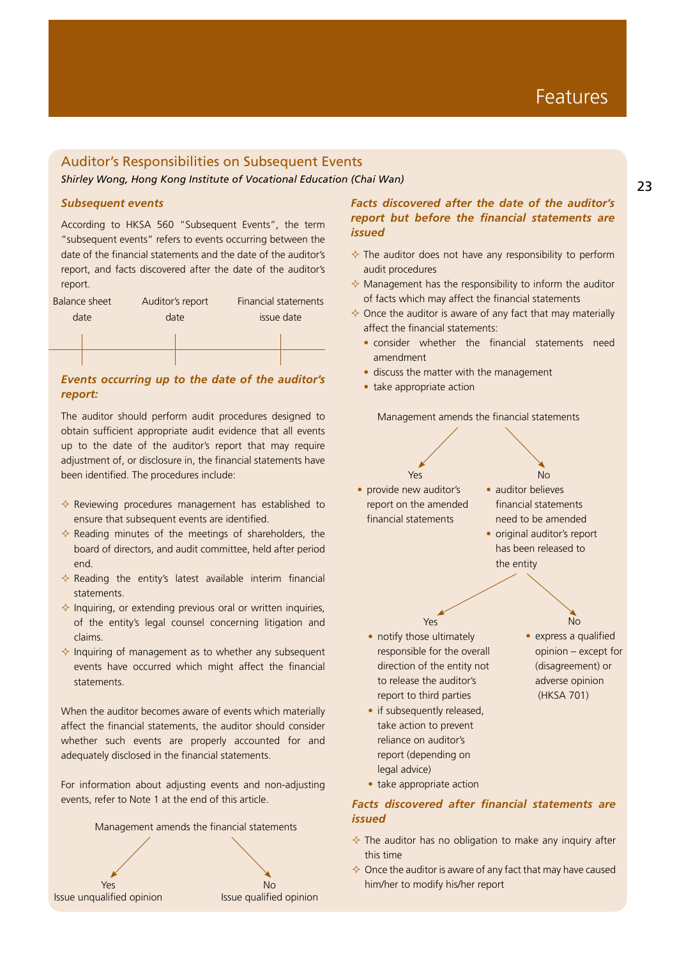# Auditor's Responsibilities on Subsequent Events

*Shirley Wong, Hong Kong Institute of Vocational Education (Chai Wan)*

## *Subsequent events*

According to HKSA 560 "Subsequent Events", the term "subsequent events" refers to events occurring between the date of the financial statements and the date of the auditor's report, and facts discovered after the date of the auditor's report.

| <b>Balance sheet</b> | Auditor's report | Financial statements |
|----------------------|------------------|----------------------|
| date                 | date             | issue date           |
|                      |                  |                      |
|                      |                  |                      |
|                      |                  |                      |

## **Events occurring up to the date of the auditor's Exercise and the auditor's** *report:*

The auditor should perform audit procedures designed to obtain sufficient appropriate audit evidence that all events up to the date of the auditor's report that may require adjustment of, or disclosure in, the financial statements have been identified. The procedures include:

- $\Diamond$  Reviewing procedures management has established to ensure that subsequent events are identified.
- $\Diamond$  Reading minutes of the meetings of shareholders, the board of directors, and audit committee, held after period end.
- $\Diamond$  Reading the entity's latest available interim financial statements.
- $\Diamond$  Inquiring, or extending previous oral or written inquiries, of the entity's legal counsel concerning litigation and claims.
- $\Diamond$  Inquiring of management as to whether any subsequent events have occurred which might affect the financial statements.

When the auditor becomes aware of events which materially affect the financial statements, the auditor should consider whether such events are properly accounted for and adequately disclosed in the financial statements.

For information about adjusting events and non-adjusting events, refer to Note 1 at the end of this article.



# *Facts discovered after the date of the auditor's report but before the financial statements are issued*

- $\Diamond$  The auditor does not have any responsibility to perform audit procedures
- $\Diamond$  Management has the responsibility to inform the auditor of facts which may affect the financial statements
- $\Diamond$  Once the auditor is aware of any fact that may materially affect the financial statements:
	- consider whether the financial statements need amendment
	- discuss the matter with the management
	-

Management amends the financial statements



• auditor believes financial statements need to be amended

No

• original auditor's report has been released to the entity

> $N<sub>0</sub>$ • express a qualified opinion – except for (disagreement) or adverse opinion (HKSA 701)

• notify those ultimately responsible for the overall direction of the entity not to release the auditor's report to third parties

Yes

- if subsequently released, take action to prevent reliance on auditor's report (depending on legal advice)
	-
- take appropriate action

# *Facts discovered after financial statements are issued*

- $\Diamond$  The auditor has no obligation to make any inquiry after this time
- $\Diamond$  Once the auditor is aware of any fact that may have caused him/her to modify his/her report